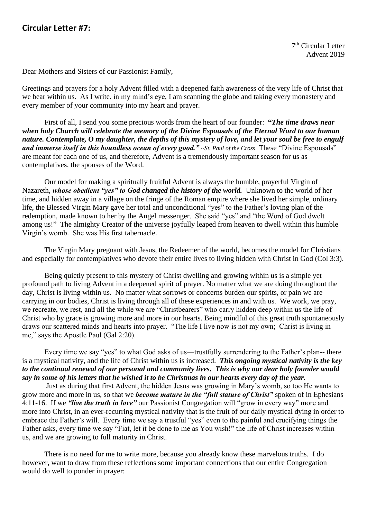## **Circular Letter #7:**

7<sup>th</sup> Circular Letter Advent 2019

Dear Mothers and Sisters of our Passionist Family,

Greetings and prayers for a holy Advent filled with a deepened faith awareness of the very life of Christ that we bear within us. As I write, in my mind's eye, I am scanning the globe and taking every monastery and every member of your community into my heart and prayer.

First of all, I send you some precious words from the heart of our founder: **"***The time draws near when holy Church will celebrate the memory of the Divine Espousals of the Eternal Word to our human nature. Contemplate, O my daughter, the depths of this mystery of love, and let your soul be free to engulf and immerse itself in this boundless ocean of every good." ~St. Paul of the Cross* These "Divine Espousals" are meant for each one of us, and therefore, Advent is a tremendously important season for us as contemplatives, the spouses of the Word.

Our model for making a spiritually fruitful Advent is always the humble, prayerful Virgin of Nazareth, *whose obedient "yes" to God changed the history of the world.* Unknown to the world of her time, and hidden away in a village on the fringe of the Roman empire where she lived her simple, ordinary life, the Blessed Virgin Mary gave her total and unconditional "yes" to the Father's loving plan of the redemption, made known to her by the Angel messenger. She said "yes" and "the Word of God dwelt among us!" The almighty Creator of the universe joyfully leaped from heaven to dwell within this humble Virgin's womb. She was His first tabernacle.

The Virgin Mary pregnant with Jesus, the Redeemer of the world, becomes the model for Christians and especially for contemplatives who devote their entire lives to living hidden with Christ in God (Col 3:3).

Being quietly present to this mystery of Christ dwelling and growing within us is a simple yet profound path to living Advent in a deepened spirit of prayer. No matter what we are doing throughout the day, Christ is living within us. No matter what sorrows or concerns burden our spirits, or pain we are carrying in our bodies, Christ is living through all of these experiences in and with us. We work, we pray, we recreate, we rest, and all the while we are "Christbearers" who carry hidden deep within us the life of Christ who by grace is growing more and more in our hearts. Being mindful of this great truth spontaneously draws our scattered minds and hearts into prayer. "The life I live now is not my own; Christ is living in me," says the Apostle Paul (Gal 2:20).

Every time we say "yes" to what God asks of us—trustfully surrendering to the Father's plan-- there is a mystical nativity, and the life of Christ within us is increased. *This ongoing mystical nativity is the key to the continual renewal of our personal and community lives. This is why our dear holy founder would say in some of his letters that he wished it to be Christmas in our hearts every day of the year.* 

Just as during that first Advent, the hidden Jesus was growing in Mary's womb, so too He wants to grow more and more in us, so that we *become mature in the "full stature of Christ"* spoken of in Ephesians 4:11-16. If we *"live the truth in love"* our Passionist Congregation will "grow in every way" more and more into Christ, in an ever-recurring mystical nativity that is the fruit of our daily mystical dying in order to embrace the Father's will. Every time we say a trustful "yes" even to the painful and crucifying things the Father asks, every time we say "Fiat, let it be done to me as You wish!" the life of Christ increases within us, and we are growing to full maturity in Christ.

There is no need for me to write more, because you already know these marvelous truths. I do however, want to draw from these reflections some important connections that our entire Congregation would do well to ponder in prayer: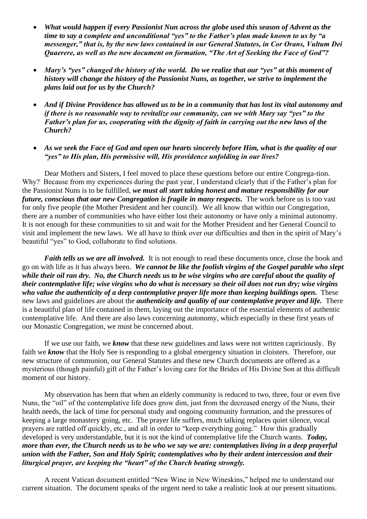- *What would happen if every Passionist Nun across the globe used this season of Advent as the time to say a complete and unconditional "yes" to the Father's plan made known to us by "a messenger," that is, by the new laws contained in our General Statutes, in Cor Orans, Vultum Dei Quaerere, as well as the new document on formation, "The Art of Seeking the Face of God"?*
- *Mary's "yes" changed the history of the world. Do we realize that our "yes" at this moment of history will change the history of the Passionist Nuns, as together, we strive to implement the plans laid out for us by the Church?*
- *And if Divine Providence has allowed us to be in a community that has lost its vital autonomy and if there is no reasonable way to revitalize our community, can we with Mary say "yes" to the Father's plan for us, cooperating with the dignity of faith in carrying out the new laws of the Church?*
- *As we seek the Face of God and open our hearts sincerely before Him, what is the quality of our "yes" to His plan, His permissive will, His providence unfolding in our lives?*

Dear Mothers and Sisters, I feel moved to place these questions before our entire Congrega-tion. Why? Because from my experiences during the past year, I understand clearly that if the Father's plan for the Passionist Nuns is to be fulfilled, *we must all start taking honest and mature responsibility for our future, conscious that our new Congregation is fragile in many respects.* The work before us is too vast for only five people (the Mother President and her council). We all know that within our Congregation, there are a number of communities who have either lost their autonomy or have only a minimal autonomy. It is not enough for these communities to sit and wait for the Mother President and her General Council to visit and implement the new laws. We all have to think over our difficulties and then in the spirit of Mary's beautiful "yes" to God, collaborate to find solutions.

*Faith tells us we are all involved.* It is not enough to read these documents once, close the book and go on with life as it has always been. *We cannot be like the foolish virgins of the Gospel parable who slept while their oil ran dry. No, the Church needs us to be wise virgins who are careful about the quality of their contemplative life; wise virgins who do what is necessary so their oil does not run dry; wise virgins*  who value the authenticity of a deep contemplative prayer life more than keeping buildings open. These new laws and guidelines are about the *authenticity and quality of our contemplative prayer and life.* There is a beautiful plan of life contained in them, laying out the importance of the essential elements of authentic contemplative life. And there are also laws concerning autonomy, which especially in these first years of our Monastic Congregation, we must be concerned about.

If we use our faith, we *know* that these new guidelines and laws were not written capriciously. By faith we **know** that the Holy See is responding to a global emergency situation in cloisters. Therefore, our new structure of communion, our General Statutes and these new Church documents are offered as a mysterious (though painful) gift of the Father's loving care for the Brides of His Divine Son at this difficult moment of our history.

My observation has been that when an elderly community is reduced to two, three, four or even five Nuns, the "oil" of the contemplative life does grow dim, just from the decreased energy of the Nuns, their health needs, the lack of time for personal study and ongoing community formation, and the pressures of keeping a large monastery going, etc. The prayer life suffers, much talking replaces quiet silence, vocal prayers are rattled off quickly, etc., and all in order to "keep everything going." How this gradually developed is very understandable, but it is not the kind of contemplative life the Church wants. *Today, more than ever, the Church needs us to be who we say we are: contemplatives living in a deep prayerful union with the Father, Son and Holy Spirit; contemplatives who by their ardent intercession and their liturgical prayer, are keeping the "heart" of the Church beating strongly.*

A recent Vatican document entitled "New Wine in New Wineskins," helped me to understand our current situation. The document speaks of the urgent need to take a realistic look at our present situations.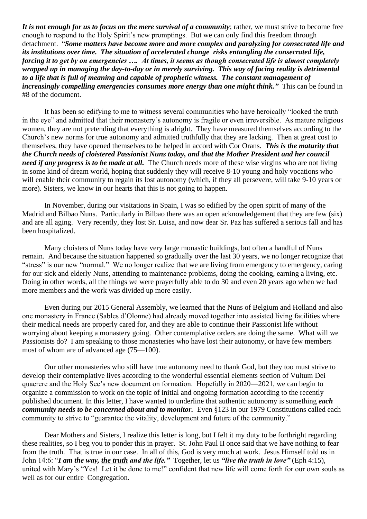*It is not enough for us to focus on the mere survival of a community*; rather, we must strive to become free enough to respond to the Holy Spirit's new promptings. But we can only find this freedom through detachment. "*Some matters have become more and more complex and paralyzing for consecrated life and its institutions over time. The situation of accelerated change risks entangling the consecrated life, forcing it to get by on emergencies …. At times, it seems as though consecrated life is almost completely wrapped up in managing the day-to-day or in merely surviving. This way of facing reality is detrimental to a life that is full of meaning and capable of prophetic witness. The constant management of increasingly compelling emergencies consumes more energy than one might think.*" This can be found in #8 of the document.

It has been so edifying to me to witness several communities who have heroically "looked the truth in the eye" and admitted that their monastery's autonomy is fragile or even irreversible. As mature religious women, they are not pretending that everything is alright. They have measured themselves according to the Church's new norms for true autonomy and admitted truthfully that they are lacking. Then at great cost to themselves, they have opened themselves to be helped in accord with Cor Orans. *This is the maturity that the Church needs of cloistered Passionist Nuns today, and that the Mother President and her council need if any progress is to be made at all.* The Church needs more of these wise virgins who are not living in some kind of dream world, hoping that suddenly they will receive 8-10 young and holy vocations who will enable their community to regain its lost autonomy (which, if they all persevere, will take 9-10 years or more). Sisters, we know in our hearts that this is not going to happen.

In November, during our visitations in Spain, I was so edified by the open spirit of many of the Madrid and Bilbao Nuns. Particularly in Bilbao there was an open acknowledgement that they are few (six) and are all aging. Very recently, they lost Sr. Luisa, and now dear Sr. Paz has suffered a serious fall and has been hospitalized.

Many cloisters of Nuns today have very large monastic buildings, but often a handful of Nuns remain. And because the situation happened so gradually over the last 30 years, we no longer recognize that "stress" is our new "normal." We no longer realize that we are living from emergency to emergency, caring for our sick and elderly Nuns, attending to maintenance problems, doing the cooking, earning a living, etc. Doing in other words, all the things we were prayerfully able to do 30 and even 20 years ago when we had more members and the work was divided up more easily.

Even during our 2015 General Assembly, we learned that the Nuns of Belgium and Holland and also one monastery in France (Sables d'Olonne) had already moved together into assisted living facilities where their medical needs are properly cared for, and they are able to continue their Passionist life without worrying about keeping a monastery going. Other contemplative orders are doing the same. What will we Passionists do? I am speaking to those monasteries who have lost their autonomy, or have few members most of whom are of advanced age (75—100).

Our other monasteries who still have true autonomy need to thank God, but they too must strive to develop their contemplative lives according to the wonderful essential elements section of Vultum Dei quaerere and the Holy See's new document on formation. Hopefully in 2020—2021, we can begin to organize a commission to work on the topic of initial and ongoing formation according to the recently published document. In this letter, I have wanted to underline that authentic autonomy is something *each community needs to be concerned about and to monitor.* Even §123 in our 1979 Constitutions called each community to strive to "guarantee the vitality, development and future of the community."

Dear Mothers and Sisters, I realize this letter is long, but I felt it my duty to be forthright regarding these realities, so I beg you to ponder this in prayer. St. John Paul II once said that we have nothing to fear from the truth. That is true in our case. In all of this, God is very much at work. Jesus Himself told us in John 14:6: "*I am the way, the truth and the life."* Together, let us *"live the truth in love"* (Eph 4:15), united with Mary's "Yes! Let it be done to me!" confident that new life will come forth for our own souls as well as for our entire Congregation.